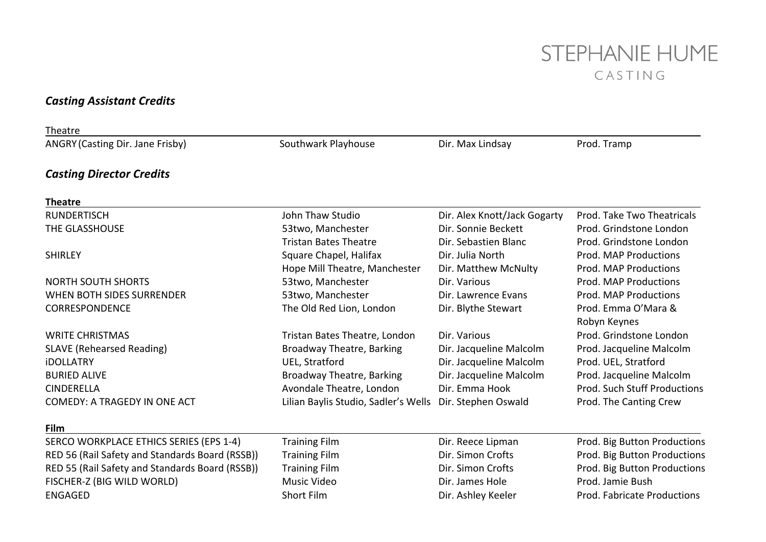## STEPHANIE HUME CASTING

## *Casting Assistant Credits*

| Theatre                                         |                                      |                              |                              |
|-------------------------------------------------|--------------------------------------|------------------------------|------------------------------|
| ANGRY (Casting Dir. Jane Frisby)                | Southwark Playhouse                  | Dir. Max Lindsay             | Prod. Tramp                  |
| <b>Casting Director Credits</b>                 |                                      |                              |                              |
| <b>Theatre</b>                                  |                                      |                              |                              |
| <b>RUNDERTISCH</b>                              | John Thaw Studio                     | Dir. Alex Knott/Jack Gogarty | Prod. Take Two Theatricals   |
| THE GLASSHOUSE                                  | 53two, Manchester                    | Dir. Sonnie Beckett          | Prod. Grindstone London      |
|                                                 | <b>Tristan Bates Theatre</b>         | Dir. Sebastien Blanc         | Prod. Grindstone London      |
| <b>SHIRLEY</b>                                  | Square Chapel, Halifax               | Dir. Julia North             | Prod. MAP Productions        |
|                                                 | Hope Mill Theatre, Manchester        | Dir. Matthew McNulty         | <b>Prod. MAP Productions</b> |
| <b>NORTH SOUTH SHORTS</b>                       | 53two, Manchester                    | Dir. Various                 | Prod. MAP Productions        |
| WHEN BOTH SIDES SURRENDER                       | 53two, Manchester                    | Dir. Lawrence Evans          | Prod. MAP Productions        |
| <b>CORRESPONDENCE</b>                           | The Old Red Lion, London             | Dir. Blythe Stewart          | Prod. Emma O'Mara &          |
|                                                 |                                      |                              | Robyn Keynes                 |
| <b>WRITE CHRISTMAS</b>                          | Tristan Bates Theatre, London        | Dir. Various                 | Prod. Grindstone London      |
| <b>SLAVE (Rehearsed Reading)</b>                | Broadway Theatre, Barking            | Dir. Jacqueline Malcolm      | Prod. Jacqueline Malcolm     |
| <b>iDOLLATRY</b>                                | UEL, Stratford                       | Dir. Jacqueline Malcolm      | Prod. UEL, Stratford         |
| <b>BURIED ALIVE</b>                             | Broadway Theatre, Barking            | Dir. Jacqueline Malcolm      | Prod. Jacqueline Malcolm     |
| <b>CINDERELLA</b>                               | Avondale Theatre, London             | Dir. Emma Hook               | Prod. Such Stuff Productions |
| <b>COMEDY: A TRAGEDY IN ONE ACT</b>             | Lilian Baylis Studio, Sadler's Wells | Dir. Stephen Oswald          | Prod. The Canting Crew       |
| <b>Film</b>                                     |                                      |                              |                              |
| SERCO WORKPLACE ETHICS SERIES (EPS 1-4)         | <b>Training Film</b>                 | Dir. Reece Lipman            | Prod. Big Button Productions |
| RED 56 (Rail Safety and Standards Board (RSSB)) | <b>Training Film</b>                 | Dir. Simon Crofts            | Prod. Big Button Productions |
| RED 55 (Rail Safety and Standards Board (RSSB)) | <b>Training Film</b>                 | Dir. Simon Crofts            | Prod. Big Button Productions |
| FISCHER-Z (BIG WILD WORLD)                      | Music Video                          | Dir. James Hole              | Prod. Jamie Bush             |
| <b>ENGAGED</b>                                  | Short Film                           | Dir. Ashley Keeler           | Prod. Fabricate Productions  |
|                                                 |                                      |                              |                              |